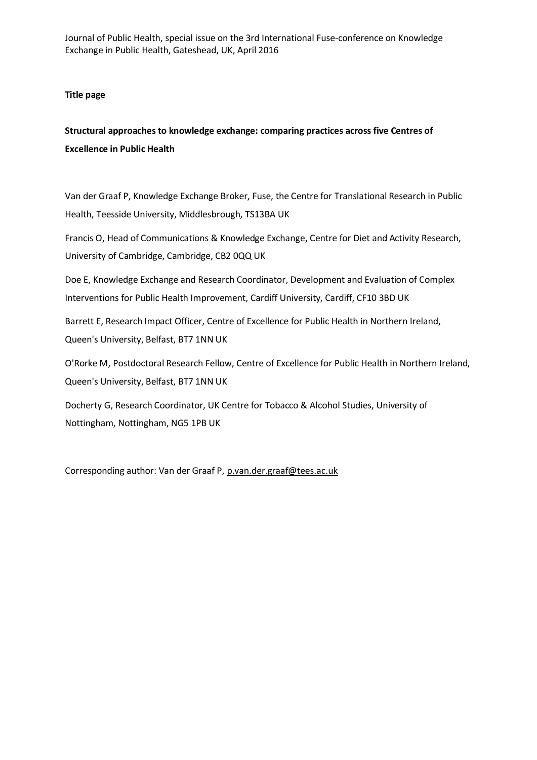# **Title page**

# **Structural approaches to knowledge exchange: comparing practices across five Centres of Excellence in Public Health**

Van der Graaf P, Knowledge Exchange Broker, Fuse, the Centre for Translational Research in Public Health, Teesside University, Middlesbrough, TS13BA UK

Francis O, Head of Communications & Knowledge Exchange, Centre for Diet and Activity Research, University of Cambridge, Cambridge, CB2 0QQ UK

Doe E, Knowledge Exchange and Research Coordinator, Development and Evaluation of Complex Interventions for Public Health Improvement, Cardiff University, Cardiff, CF10 3BD UK

Barrett E, Research Impact Officer, Centre of Excellence for Public Health in Northern Ireland, Queen's University, Belfast, BT7 1NN UK

O'Rorke M, Postdoctoral Research Fellow, Centre of Excellence for Public Health in Northern Ireland, Queen's University, Belfast, BT7 1NN UK

Docherty G, Research Coordinator, UK Centre for Tobacco & Alcohol Studies, University of Nottingham, Nottingham, NG5 1PB UK

Corresponding author: Van der Graaf P, [p.van.der.graaf@tees.ac.uk](mailto:p.van.der.graaf@tees.ac.uk)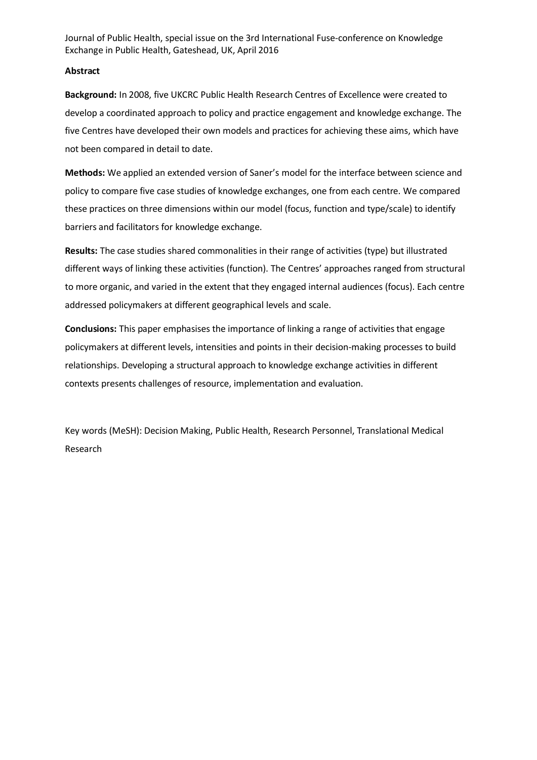# **Abstract**

**Background:** In 2008, five UKCRC Public Health Research Centres of Excellence were created to develop a coordinated approach to policy and practice engagement and knowledge exchange. The five Centres have developed their own models and practices for achieving these aims, which have not been compared in detail to date.

**Methods:** We applied an extended version of Saner's model for the interface between science and policy to compare five case studies of knowledge exchanges, one from each centre. We compared these practices on three dimensions within our model (focus, function and type/scale) to identify barriers and facilitators for knowledge exchange.

**Results:** The case studies shared commonalities in their range of activities (type) but illustrated different ways of linking these activities (function). The Centres' approaches ranged from structural to more organic, and varied in the extent that they engaged internal audiences (focus). Each centre addressed policymakers at different geographical levels and scale.

**Conclusions:** This paper emphasises the importance of linking a range of activities that engage policymakers at different levels, intensities and points in their decision-making processes to build relationships. Developing a structural approach to knowledge exchange activities in different contexts presents challenges of resource, implementation and evaluation.

Key words (MeSH): Decision Making, Public Health, Research Personnel, Translational Medical Research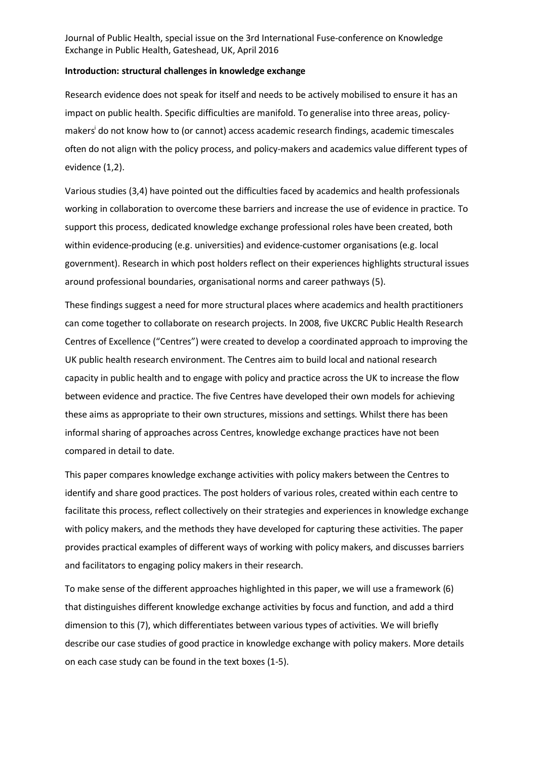## **Introduction: structural challenges in knowledge exchange**

Research evidence does not speak for itself and needs to be actively mobilised to ensure it has an impact on public health. Specific difficulties are manifold. To generalise into three areas, policymakers<sup>i</sup> do not know how to (or cannot) access academic research findings, academic timescales often do not align with the policy process, and policy-makers and academics value different types of evidence (1,2).

Various studies (3,4) have pointed out the difficulties faced by academics and health professionals working in collaboration to overcome these barriers and increase the use of evidence in practice. To support this process, dedicated knowledge exchange professional roles have been created, both within evidence-producing (e.g. universities) and evidence-customer organisations(e.g. local government). Research in which post holders reflect on their experiences highlights structural issues around professional boundaries, organisational norms and career pathways (5).

These findings suggest a need for more structural places where academics and health practitioners can come together to collaborate on research projects. In 2008, five UKCRC Public Health Research Centres of Excellence ("Centres") were created to develop a coordinated approach to improving the UK public health research environment. The Centres aim to build local and national research capacity in public health and to engage with policy and practice across the UK to increase the flow between evidence and practice. The five Centres have developed their own models for achieving these aims as appropriate to their own structures, missions and settings. Whilst there has been informal sharing of approaches across Centres, knowledge exchange practices have not been compared in detail to date.

This paper compares knowledge exchange activities with policy makers between the Centres to identify and share good practices. The post holders of various roles, created within each centre to facilitate this process, reflect collectively on their strategies and experiences in knowledge exchange with policy makers, and the methods they have developed for capturing these activities. The paper provides practical examples of different ways of working with policy makers, and discusses barriers and facilitators to engaging policy makers in their research.

To make sense of the different approaches highlighted in this paper, we will use a framework (6) that distinguishes different knowledge exchange activities by focus and function, and add a third dimension to this (7), which differentiates between various types of activities. We will briefly describe our case studies of good practice in knowledge exchange with policy makers. More details on each case study can be found in the text boxes (1-5).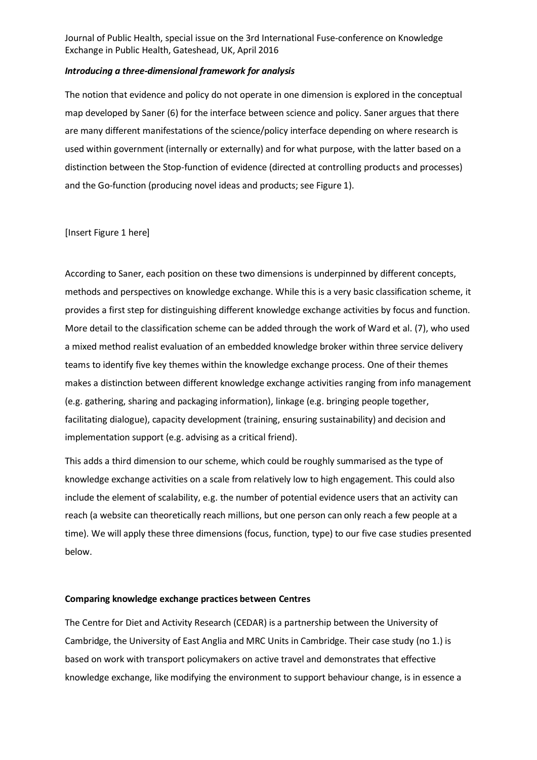## *Introducing a three-dimensional framework for analysis*

The notion that evidence and policy do not operate in one dimension is explored in the conceptual map developed by Saner (6) for the interface between science and policy. Saner argues that there are many different manifestations of the science/policy interface depending on where research is used within government (internally or externally) and for what purpose, with the latter based on a distinction between the Stop-function of evidence (directed at controlling products and processes) and the Go-function (producing novel ideas and products; see Figure 1).

## [Insert Figure 1 here]

According to Saner, each position on these two dimensions is underpinned by different concepts, methods and perspectives on knowledge exchange. While this is a very basic classification scheme, it provides a first step for distinguishing different knowledge exchange activities by focus and function. More detail to the classification scheme can be added through the work of Ward et al. (7), who used a mixed method realist evaluation of an embedded knowledge broker within three service delivery teams to identify five key themes within the knowledge exchange process. One of their themes makes a distinction between different knowledge exchange activities ranging from info management (e.g. gathering, sharing and packaging information), linkage (e.g. bringing people together, facilitating dialogue), capacity development (training, ensuring sustainability) and decision and implementation support (e.g. advising as a critical friend).

This adds a third dimension to our scheme, which could be roughly summarised as the type of knowledge exchange activities on a scale from relatively low to high engagement. This could also include the element of scalability, e.g. the number of potential evidence users that an activity can reach (a website can theoretically reach millions, but one person can only reach a few people at a time). We will apply these three dimensions (focus, function, type) to our five case studies presented below.

## **Comparing knowledge exchange practices between Centres**

The Centre for Diet and Activity Research (CEDAR) is a partnership between the University of Cambridge, the University of East Anglia and MRC Units in Cambridge. Their case study (no 1.) is based on work with transport policymakers on active travel and demonstrates that effective knowledge exchange, like modifying the environment to support behaviour change, is in essence a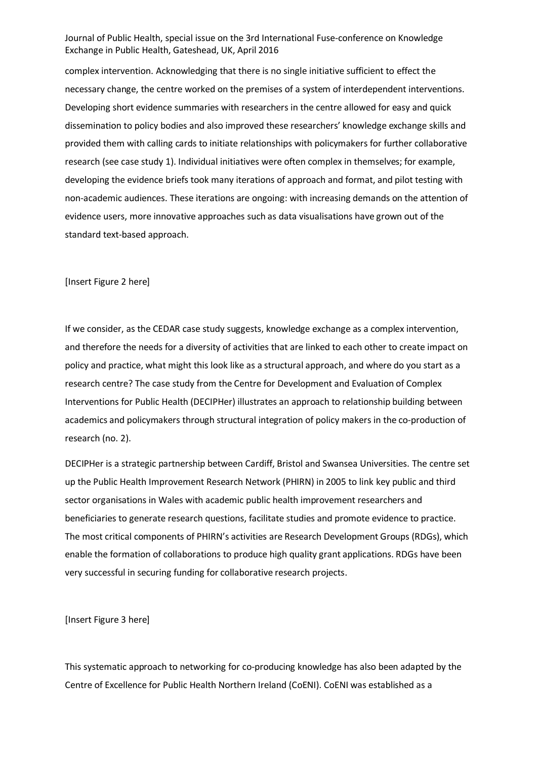complex intervention. Acknowledging that there is no single initiative sufficient to effect the necessary change, the centre worked on the premises of a system of interdependent interventions. Developing short evidence summaries with researchers in the centre allowed for easy and quick dissemination to policy bodies and also improved these researchers' knowledge exchange skills and provided them with calling cards to initiate relationships with policymakers for further collaborative research (see case study 1). Individual initiatives were often complex in themselves; for example, developing the evidence briefs took many iterations of approach and format, and pilot testing with non-academic audiences. These iterations are ongoing: with increasing demands on the attention of evidence users, more innovative approaches such as data visualisations have grown out of the standard text-based approach.

[Insert Figure 2 here]

If we consider, as the CEDAR case study suggests, knowledge exchange as a complex intervention, and therefore the needs for a diversity of activities that are linked to each other to create impact on policy and practice, what might this look like as a structural approach, and where do you start as a research centre? The case study from the Centre for Development and Evaluation of Complex Interventions for Public Health (DECIPHer) illustrates an approach to relationship building between academics and policymakers through structural integration of policy makers in the co-production of research (no. 2).

DECIPHer is a strategic partnership between Cardiff, Bristol and Swansea Universities. The centre set up the Public Health Improvement Research Network (PHIRN) in 2005 to link key public and third sector organisations in Wales with academic public health improvement researchers and beneficiaries to generate research questions, facilitate studies and promote evidence to practice. The most critical components of PHIRN's activities are Research Development Groups (RDGs), which enable the formation of collaborations to produce high quality grant applications. RDGs have been very successful in securing funding for collaborative research projects.

[Insert Figure 3 here]

This systematic approach to networking for co-producing knowledge has also been adapted by the Centre of Excellence for Public Health Northern Ireland (CoENI). CoENI was established as a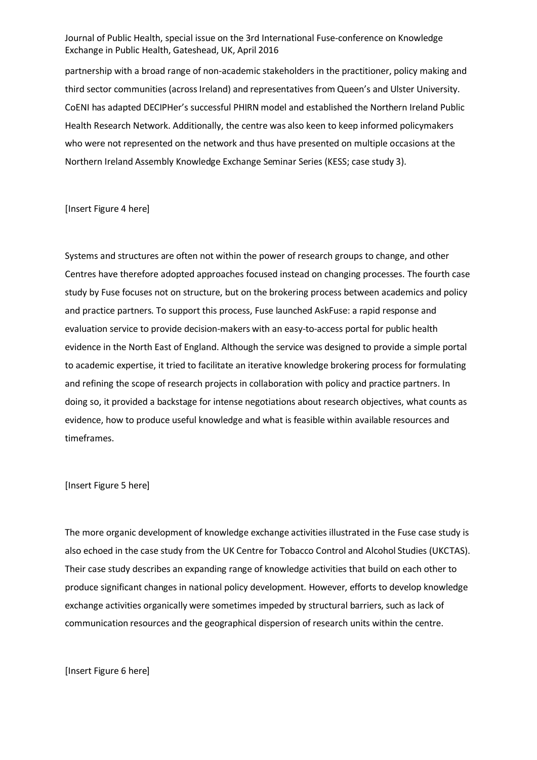partnership with a broad range of non-academic stakeholders in the practitioner, policy making and third sector communities (across Ireland) and representatives from Queen's and Ulster University. CoENI has adapted DECIPHer's successful PHIRN model and established the Northern Ireland Public Health Research Network. Additionally, the centre was also keen to keep informed policymakers who were not represented on the network and thus have presented on multiple occasions at the Northern Ireland Assembly Knowledge Exchange Seminar Series (KESS; case study 3).

[Insert Figure 4 here]

Systems and structures are often not within the power of research groups to change, and other Centres have therefore adopted approaches focused instead on changing processes. The fourth case study by Fuse focuses not on structure, but on the brokering process between academics and policy and practice partners. To support this process, Fuse launched AskFuse: a rapid response and evaluation service to provide decision-makers with an easy-to-access portal for public health evidence in the North East of England. Although the service was designed to provide a simple portal to academic expertise, it tried to facilitate an iterative knowledge brokering process for formulating and refining the scope of research projects in collaboration with policy and practice partners. In doing so, it provided a backstage for intense negotiations about research objectives, what counts as evidence, how to produce useful knowledge and what is feasible within available resources and timeframes.

[Insert Figure 5 here]

The more organic development of knowledge exchange activities illustrated in the Fuse case study is also echoed in the case study from the UK Centre for Tobacco Control and Alcohol Studies (UKCTAS). Their case study describes an expanding range of knowledge activities that build on each other to produce significant changes in national policy development. However, efforts to develop knowledge exchange activities organically were sometimes impeded by structural barriers, such as lack of communication resources and the geographical dispersion of research units within the centre.

[Insert Figure 6 here]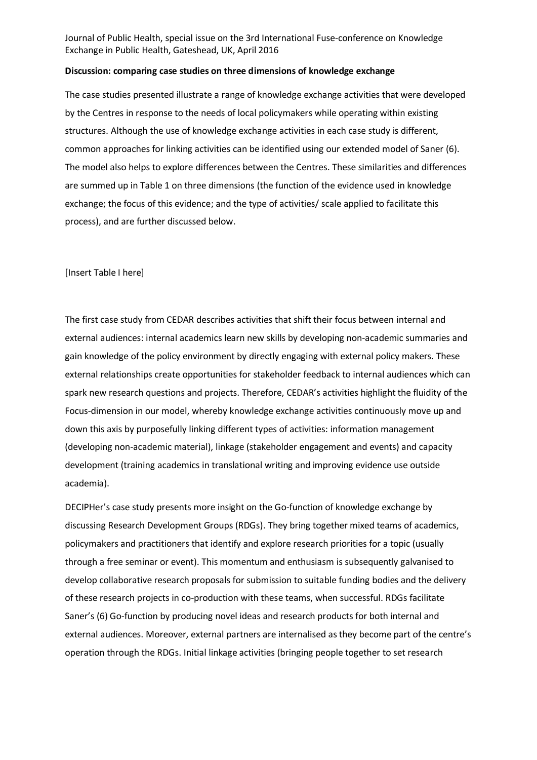#### **Discussion: comparing case studies on three dimensions of knowledge exchange**

The case studies presented illustrate a range of knowledge exchange activities that were developed by the Centres in response to the needs of local policymakers while operating within existing structures. Although the use of knowledge exchange activities in each case study is different, common approaches for linking activities can be identified using our extended model of Saner (6). The model also helps to explore differences between the Centres. These similarities and differences are summed up in Table 1 on three dimensions (the function of the evidence used in knowledge exchange; the focus of this evidence; and the type of activities/ scale applied to facilitate this process), and are further discussed below.

#### [Insert Table I here]

The first case study from CEDAR describes activities that shift their focus between internal and external audiences: internal academics learn new skills by developing non-academic summaries and gain knowledge of the policy environment by directly engaging with external policy makers. These external relationships create opportunities for stakeholder feedback to internal audiences which can spark new research questions and projects. Therefore, CEDAR's activities highlight the fluidity of the Focus-dimension in our model, whereby knowledge exchange activities continuously move up and down this axis by purposefully linking different types of activities: information management (developing non-academic material), linkage (stakeholder engagement and events) and capacity development (training academics in translational writing and improving evidence use outside academia).

DECIPHer's case study presents more insight on the Go-function of knowledge exchange by discussing Research Development Groups (RDGs). They bring together mixed teams of academics, policymakers and practitioners that identify and explore research priorities for a topic (usually through a free seminar or event). This momentum and enthusiasm is subsequently galvanised to develop collaborative research proposals for submission to suitable funding bodies and the delivery of these research projects in co-production with these teams, when successful. RDGs facilitate Saner's (6) Go-function by producing novel ideas and research products for both internal and external audiences. Moreover, external partners are internalised as they become part of the centre's operation through the RDGs. Initial linkage activities (bringing people together to set research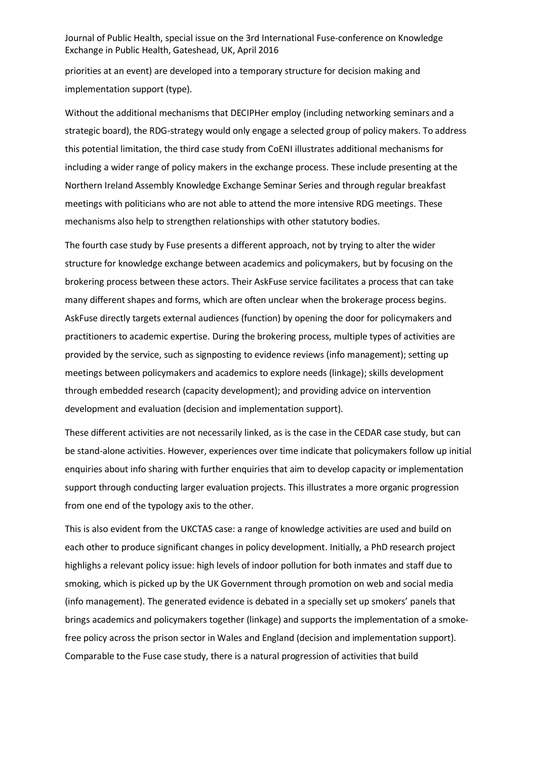priorities at an event) are developed into a temporary structure for decision making and implementation support (type).

Without the additional mechanisms that DECIPHer employ (including networking seminars and a strategic board), the RDG-strategy would only engage a selected group of policy makers. To address this potential limitation, the third case study from CoENI illustrates additional mechanisms for including a wider range of policy makers in the exchange process. These include presenting at the Northern Ireland Assembly Knowledge Exchange Seminar Series and through regular breakfast meetings with politicians who are not able to attend the more intensive RDG meetings. These mechanisms also help to strengthen relationships with other statutory bodies.

The fourth case study by Fuse presents a different approach, not by trying to alter the wider structure for knowledge exchange between academics and policymakers, but by focusing on the brokering process between these actors. Their AskFuse service facilitates a process that can take many different shapes and forms, which are often unclear when the brokerage process begins. AskFuse directly targets external audiences (function) by opening the door for policymakers and practitioners to academic expertise. During the brokering process, multiple types of activities are provided by the service, such as signposting to evidence reviews (info management); setting up meetings between policymakers and academics to explore needs (linkage); skills development through embedded research (capacity development); and providing advice on intervention development and evaluation (decision and implementation support).

These different activities are not necessarily linked, as is the case in the CEDAR case study, but can be stand-alone activities. However, experiences over time indicate that policymakers follow up initial enquiries about info sharing with further enquiries that aim to develop capacity or implementation support through conducting larger evaluation projects. This illustrates a more organic progression from one end of the typology axis to the other.

This is also evident from the UKCTAS case: a range of knowledge activities are used and build on each other to produce significant changes in policy development. Initially, a PhD research project highlighs a relevant policy issue: high levels of indoor pollution for both inmates and staff due to smoking, which is picked up by the UK Government through promotion on web and social media (info management). The generated evidence is debated in a specially set up smokers' panels that brings academics and policymakers together (linkage) and supports the implementation of a smokefree policy across the prison sector in Wales and England (decision and implementation support). Comparable to the Fuse case study, there is a natural progression of activities that build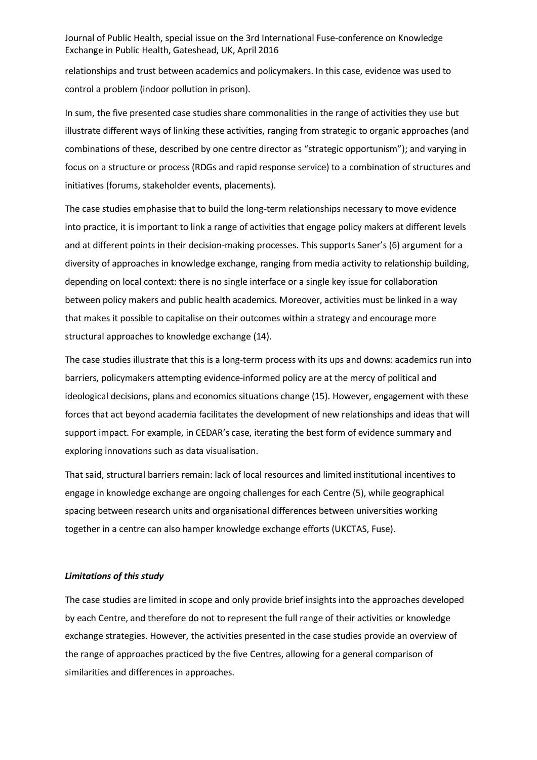relationships and trust between academics and policymakers. In this case, evidence was used to control a problem (indoor pollution in prison).

In sum, the five presented case studies share commonalities in the range of activities they use but illustrate different ways of linking these activities, ranging from strategic to organic approaches (and combinations of these, described by one centre director as "strategic opportunism"); and varying in focus on a structure or process (RDGs and rapid response service) to a combination of structures and initiatives (forums, stakeholder events, placements).

The case studies emphasise that to build the long-term relationships necessary to move evidence into practice, it is important to link a range of activities that engage policy makers at different levels and at different points in their decision-making processes. This supports Saner's (6) argument for a diversity of approaches in knowledge exchange, ranging from media activity to relationship building, depending on local context: there is no single interface or a single key issue for collaboration between policy makers and public health academics. Moreover, activities must be linked in a way that makes it possible to capitalise on their outcomes within a strategy and encourage more structural approaches to knowledge exchange (14).

The case studies illustrate that this is a long-term process with its ups and downs: academics run into barriers, policymakers attempting evidence-informed policy are at the mercy of political and ideological decisions, plans and economics situations change (15). However, engagement with these forces that act beyond academia facilitates the development of new relationships and ideas that will support impact. For example, in CEDAR's case, iterating the best form of evidence summary and exploring innovations such as data visualisation.

That said, structural barriers remain: lack of local resources and limited institutional incentives to engage in knowledge exchange are ongoing challenges for each Centre (5), while geographical spacing between research units and organisational differences between universities working together in a centre can also hamper knowledge exchange efforts (UKCTAS, Fuse).

## *Limitations of this study*

The case studies are limited in scope and only provide brief insights into the approaches developed by each Centre, and therefore do not to represent the full range of their activities or knowledge exchange strategies. However, the activities presented in the case studies provide an overview of the range of approaches practiced by the five Centres, allowing for a general comparison of similarities and differences in approaches.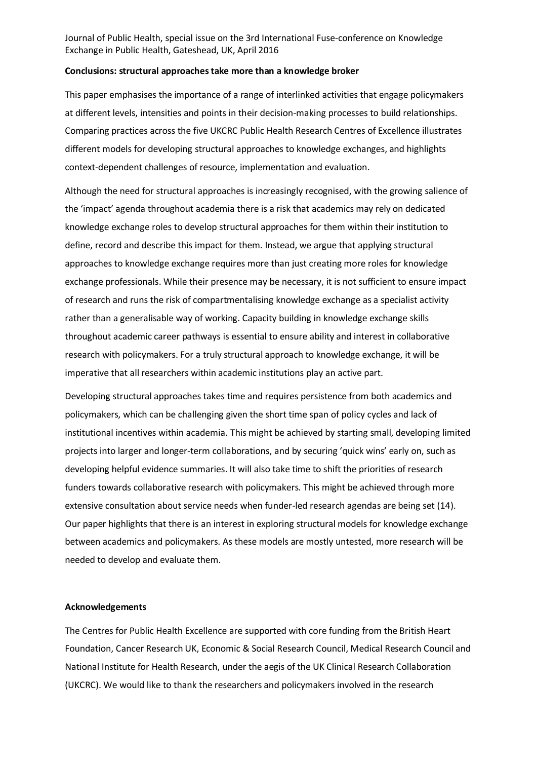#### **Conclusions: structural approaches take more than a knowledge broker**

This paper emphasises the importance of a range of interlinked activities that engage policymakers at different levels, intensities and points in their decision-making processes to build relationships. Comparing practices across the five UKCRC Public Health Research Centres of Excellence illustrates different models for developing structural approaches to knowledge exchanges, and highlights context-dependent challenges of resource, implementation and evaluation.

Although the need for structural approaches is increasingly recognised, with the growing salience of the 'impact' agenda throughout academia there is a risk that academics may rely on dedicated knowledge exchange roles to develop structural approaches for them within their institution to define, record and describe this impact for them. Instead, we argue that applying structural approaches to knowledge exchange requires more than just creating more roles for knowledge exchange professionals. While their presence may be necessary, it is not sufficient to ensure impact of research and runs the risk of compartmentalising knowledge exchange as a specialist activity rather than a generalisable way of working. Capacity building in knowledge exchange skills throughout academic career pathways is essential to ensure ability and interest in collaborative research with policymakers. For a truly structural approach to knowledge exchange, it will be imperative that all researchers within academic institutions play an active part.

Developing structural approaches takes time and requires persistence from both academics and policymakers, which can be challenging given the short time span of policy cycles and lack of institutional incentives within academia. This might be achieved by starting small, developing limited projects into larger and longer-term collaborations, and by securing 'quick wins' early on, such as developing helpful evidence summaries. It will also take time to shift the priorities of research funders towards collaborative research with policymakers. This might be achieved through more extensive consultation about service needs when funder-led research agendas are being set (14). Our paper highlights that there is an interest in exploring structural models for knowledge exchange between academics and policymakers. As these models are mostly untested, more research will be needed to develop and evaluate them.

## **Acknowledgements**

The Centres for Public Health Excellence are supported with core funding from the British Heart Foundation, Cancer Research UK, Economic & Social Research Council, Medical Research Council and National Institute for Health Research, under the aegis of the UK Clinical Research Collaboration (UKCRC). We would like to thank the researchers and policymakers involved in the research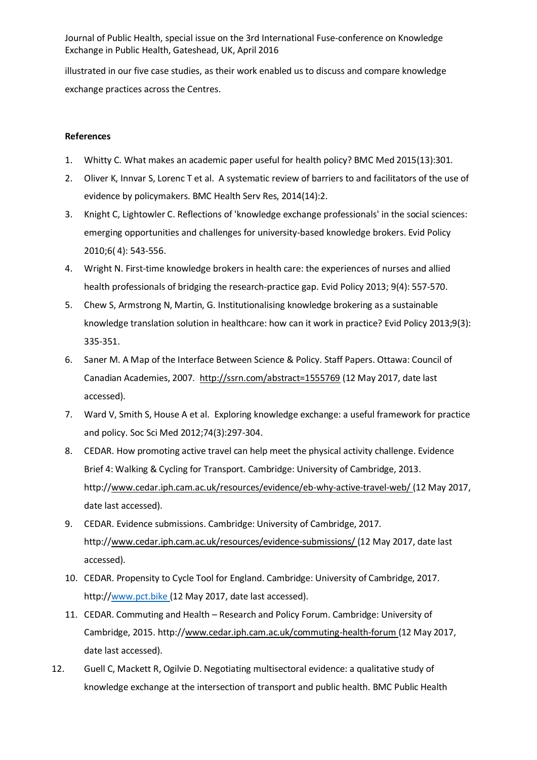illustrated in our five case studies, as their work enabled us to discuss and compare knowledge exchange practices across the Centres.

# **References**

- 1. Whitty C. What makes an academic paper useful for health policy? BMC Med 2015(13):301.
- 2. Oliver K, Innvar S, Lorenc T et al. A systematic review of barriers to and facilitators of the use of evidence by policymakers. BMC Health Serv Res, 2014(14):2.
- 3. Knight C, Lightowler C. Reflections of 'knowledge exchange professionals' in the social sciences: emerging opportunities and challenges for university-based knowledge brokers. Evid Policy 2010;6( 4): 543-556.
- 4. Wright N. First-time knowledge brokers in health care: the experiences of nurses and allied health professionals of bridging the research-practice gap. Evid Policy 2013; 9(4): 557-570.
- 5. Chew S, Armstrong N, Martin, G. Institutionalising knowledge brokering as a sustainable knowledge translation solution in healthcare: how can it work in practice? Evid Policy 2013;9(3): 335-351.
- 6. Saner M. A Map of the Interface Between Science & Policy. Staff Papers. Ottawa: Council of Canadian Academies, 2007. <http://ssrn.com/abstract=1555769> (12 May 2017, date last accessed).
- 7. Ward V, Smith S, House A et al. Exploring knowledge exchange: a useful framework for practice and policy. Soc Sci Med 2012;74(3):297-304.
- 8. CEDAR. How promoting active travel can help meet the physical activity challenge. Evidence Brief 4: Walking & Cycling for Transport. Cambridge: University of Cambridge, 2013. http:/[/www.cedar.iph.cam.ac.uk/resources/evidence/eb-why-active-travel-web/](http://www.cedar.iph.cam.ac.uk/resources/evidence/eb-why-active-travel-web/) (12 May 2017, date last accessed).
- 9. CEDAR. Evidence submissions. Cambridge: University of Cambridge, 2017. http:/[/www.cedar.iph.cam.ac.uk/resources/evidence-submissions/](http://www.cedar.iph.cam.ac.uk/resources/evidence-submissions/) (12 May 2017, date last accessed).
- 10. CEDAR. Propensity to Cycle Tool for England. Cambridge: University of Cambridge, 2017. http:/[/www.pct.bike](http://www.pct.bike/) (12 May 2017, date last accessed).
- 11. CEDAR. Commuting and Health Research and Policy Forum. Cambridge: University of Cambridge, 2015. http:/[/www.cedar.iph.cam.ac.uk/commuting-health-forum](http://www.cedar.iph.cam.ac.uk/commuting-health-forum) (12 May 2017, date last accessed).
- 12. Guell C, Mackett R, Ogilvie D. Negotiating multisectoral evidence: a qualitative study of knowledge exchange at the intersection of transport and public health. BMC Public Health